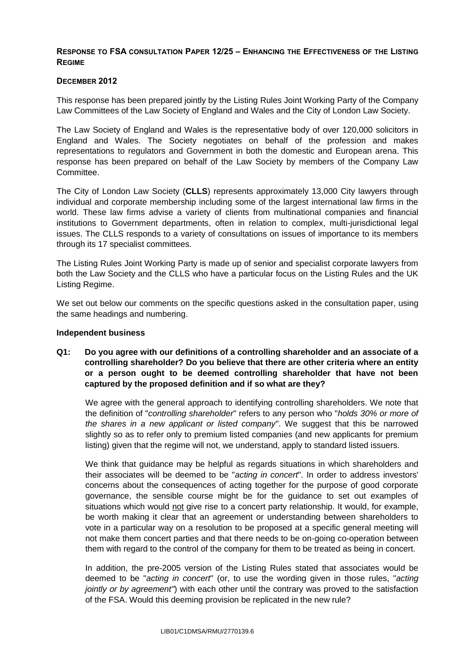### **RESPONSE TO FSA CONSULTATION PAPER 12/25 – ENHANCING THE EFFECTIVENESS OF THE LISTING REGIME**

### **DECEMBER 2012**

This response has been prepared jointly by the Listing Rules Joint Working Party of the Company Law Committees of the Law Society of England and Wales and the City of London Law Society.

The Law Society of England and Wales is the representative body of over 120,000 solicitors in England and Wales. The Society negotiates on behalf of the profession and makes representations to regulators and Government in both the domestic and European arena. This response has been prepared on behalf of the Law Society by members of the Company Law Committee.

The City of London Law Society (**CLLS**) represents approximately 13,000 City lawyers through individual and corporate membership including some of the largest international law firms in the world. These law firms advise a variety of clients from multinational companies and financial institutions to Government departments, often in relation to complex, multi-jurisdictional legal issues. The CLLS responds to a variety of consultations on issues of importance to its members through its 17 specialist committees.

The Listing Rules Joint Working Party is made up of senior and specialist corporate lawyers from both the Law Society and the CLLS who have a particular focus on the Listing Rules and the UK Listing Regime.

We set out below our comments on the specific questions asked in the consultation paper, using the same headings and numbering.

#### **Independent business**

### **Q1: Do you agree with our definitions of a controlling shareholder and an associate of a controlling shareholder? Do you believe that there are other criteria where an entity or a person ought to be deemed controlling shareholder that have not been captured by the proposed definition and if so what are they?**

We agree with the general approach to identifying controlling shareholders. We note that the definition of "*controlling shareholder*" refers to any person who "*holds 30% or more of the shares in a new applicant or listed company*". We suggest that this be narrowed slightly so as to refer only to premium listed companies (and new applicants for premium listing) given that the regime will not, we understand, apply to standard listed issuers.

We think that guidance may be helpful as regards situations in which shareholders and their associates will be deemed to be "*acting in concert*". In order to address investors' concerns about the consequences of acting together for the purpose of good corporate governance, the sensible course might be for the guidance to set out examples of situations which would not give rise to a concert party relationship. It would, for example, be worth making it clear that an agreement or understanding between shareholders to vote in a particular way on a resolution to be proposed at a specific general meeting will not make them concert parties and that there needs to be on-going co-operation between them with regard to the control of the company for them to be treated as being in concert.

In addition, the pre-2005 version of the Listing Rules stated that associates would be deemed to be "*acting in concert*" (or, to use the wording given in those rules, "*acting jointly or by agreement"*) with each other until the contrary was proved to the satisfaction of the FSA. Would this deeming provision be replicated in the new rule?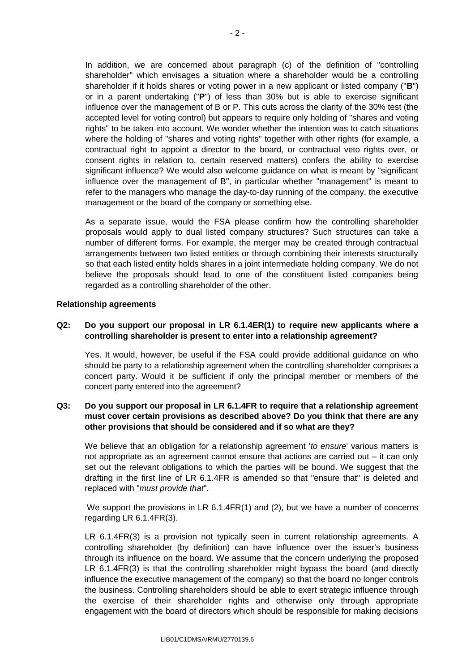In addition, we are concerned about paragraph (c) of the definition of "controlling shareholder" which envisages a situation where a shareholder would be a controlling shareholder if it holds shares or voting power in a new applicant or listed company ("**B**") or in a parent undertaking ("**P**") of less than 30% but is able to exercise significant influence over the management of B or P. This cuts across the clarity of the 30% test (the accepted level for voting control) but appears to require only holding of "shares and voting rights" to be taken into account. We wonder whether the intention was to catch situations where the holding of "shares and voting rights" together with other rights (for example, a contractual right to appoint a director to the board, or contractual veto rights over, or consent rights in relation to, certain reserved matters) confers the ability to exercise significant influence? We would also welcome guidance on what is meant by "significant influence over the management of B", in particular whether "management" is meant to refer to the managers who manage the day-to-day running of the company, the executive management or the board of the company or something else.

As a separate issue, would the FSA please confirm how the controlling shareholder proposals would apply to dual listed company structures? Such structures can take a number of different forms. For example, the merger may be created through contractual arrangements between two listed entities or through combining their interests structurally so that each listed entity holds shares in a joint intermediate holding company. We do not believe the proposals should lead to one of the constituent listed companies being regarded as a controlling shareholder of the other.

### **Relationship agreements**

### **Q2: Do you support our proposal in LR 6.1.4ER(1) to require new applicants where a controlling shareholder is present to enter into a relationship agreement?**

Yes. It would, however, be useful if the FSA could provide additional guidance on who should be party to a relationship agreement when the controlling shareholder comprises a concert party. Would it be sufficient if only the principal member or members of the concert party entered into the agreement?

## **Q3: Do you support our proposal in LR 6.1.4FR to require that a relationship agreement must cover certain provisions as described above? Do you think that there are any other provisions that should be considered and if so what are they?**

We believe that an obligation for a relationship agreement '*to ensure*' various matters is not appropriate as an agreement cannot ensure that actions are carried out – it can only set out the relevant obligations to which the parties will be bound. We suggest that the drafting in the first line of LR 6.1.4FR is amended so that "ensure that" is deleted and replaced with "*must provide that*".

We support the provisions in LR 6.1.4FR(1) and (2), but we have a number of concerns regarding LR 6.1.4FR(3).

LR 6.1.4FR(3) is a provision not typically seen in current relationship agreements. A controlling shareholder (by definition) can have influence over the issuer's business through its influence on the board. We assume that the concern underlying the proposed LR 6.1.4FR(3) is that the controlling shareholder might bypass the board (and directly influence the executive management of the company) so that the board no longer controls the business. Controlling shareholders should be able to exert strategic influence through the exercise of their shareholder rights and otherwise only through appropriate engagement with the board of directors which should be responsible for making decisions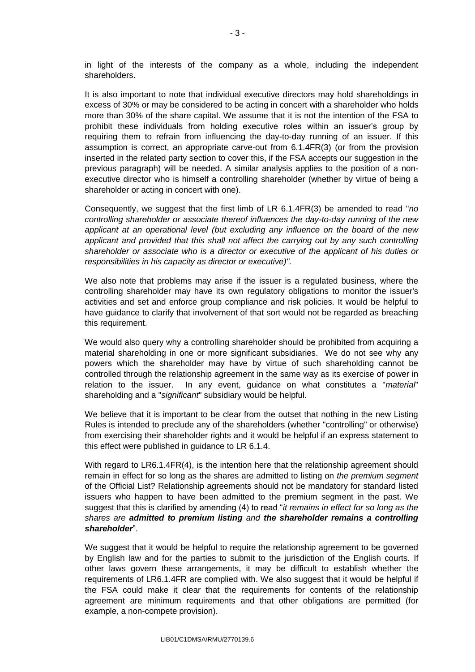in light of the interests of the company as a whole, including the independent shareholders.

It is also important to note that individual executive directors may hold shareholdings in excess of 30% or may be considered to be acting in concert with a shareholder who holds more than 30% of the share capital. We assume that it is not the intention of the FSA to prohibit these individuals from holding executive roles within an issuer's group by requiring them to refrain from influencing the day-to-day running of an issuer. If this assumption is correct, an appropriate carve-out from 6.1.4FR(3) (or from the provision inserted in the related party section to cover this, if the FSA accepts our suggestion in the previous paragraph) will be needed. A similar analysis applies to the position of a nonexecutive director who is himself a controlling shareholder (whether by virtue of being a shareholder or acting in concert with one).

Consequently, we suggest that the first limb of LR 6.1.4FR(3) be amended to read "*no controlling shareholder or associate thereof influences the day-to-day running of the new applicant at an operational level (but excluding any influence on the board of the new applicant and provided that this shall not affect the carrying out by any such controlling shareholder or associate who is a director or executive of the applicant of his duties or responsibilities in his capacity as director or executive)".*

We also note that problems may arise if the issuer is a regulated business, where the controlling shareholder may have its own regulatory obligations to monitor the issuer's activities and set and enforce group compliance and risk policies. It would be helpful to have guidance to clarify that involvement of that sort would not be regarded as breaching this requirement.

We would also query why a controlling shareholder should be prohibited from acquiring a material shareholding in one or more significant subsidiaries. We do not see why any powers which the shareholder may have by virtue of such shareholding cannot be controlled through the relationship agreement in the same way as its exercise of power in relation to the issuer. In any event, guidance on what constitutes a "*material*" shareholding and a "*significant*" subsidiary would be helpful.

We believe that it is important to be clear from the outset that nothing in the new Listing Rules is intended to preclude any of the shareholders (whether "controlling" or otherwise) from exercising their shareholder rights and it would be helpful if an express statement to this effect were published in guidance to LR 6.1.4.

With regard to LR6.1.4FR(4), is the intention here that the relationship agreement should remain in effect for so long as the shares are admitted to listing on *the premium segment*  of the Official List? Relationship agreements should not be mandatory for standard listed issuers who happen to have been admitted to the premium segment in the past. We suggest that this is clarified by amending (4) to read "*it remains in effect for so long as the shares are admitted to premium listing and the shareholder remains a controlling shareholder*".

We suggest that it would be helpful to require the relationship agreement to be governed by English law and for the parties to submit to the jurisdiction of the English courts. If other laws govern these arrangements, it may be difficult to establish whether the requirements of LR6.1.4FR are complied with. We also suggest that it would be helpful if the FSA could make it clear that the requirements for contents of the relationship agreement are minimum requirements and that other obligations are permitted (for example, a non-compete provision).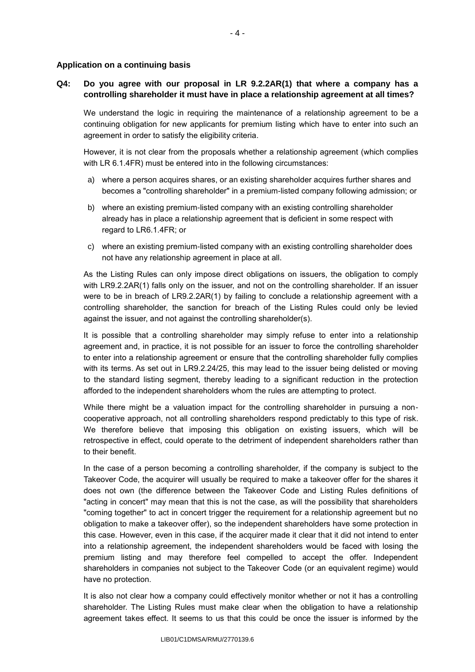#### **Application on a continuing basis**

### **Q4: Do you agree with our proposal in LR 9.2.2AR(1) that where a company has a controlling shareholder it must have in place a relationship agreement at all times?**

We understand the logic in requiring the maintenance of a relationship agreement to be a continuing obligation for new applicants for premium listing which have to enter into such an agreement in order to satisfy the eligibility criteria.

However, it is not clear from the proposals whether a relationship agreement (which complies with LR 6.1.4FR) must be entered into in the following circumstances:

- a) where a person acquires shares, or an existing shareholder acquires further shares and becomes a "controlling shareholder" in a premium-listed company following admission; or
- b) where an existing premium-listed company with an existing controlling shareholder already has in place a relationship agreement that is deficient in some respect with regard to LR6.1.4FR; or
- c) where an existing premium-listed company with an existing controlling shareholder does not have any relationship agreement in place at all.

As the Listing Rules can only impose direct obligations on issuers, the obligation to comply with LR9.2.2AR(1) falls only on the issuer, and not on the controlling shareholder. If an issuer were to be in breach of LR9.2.2AR(1) by failing to conclude a relationship agreement with a controlling shareholder, the sanction for breach of the Listing Rules could only be levied against the issuer, and not against the controlling shareholder(s).

It is possible that a controlling shareholder may simply refuse to enter into a relationship agreement and, in practice, it is not possible for an issuer to force the controlling shareholder to enter into a relationship agreement or ensure that the controlling shareholder fully complies with its terms. As set out in LR9.2.24/25, this may lead to the issuer being delisted or moving to the standard listing segment, thereby leading to a significant reduction in the protection afforded to the independent shareholders whom the rules are attempting to protect.

While there might be a valuation impact for the controlling shareholder in pursuing a noncooperative approach, not all controlling shareholders respond predictably to this type of risk. We therefore believe that imposing this obligation on existing issuers, which will be retrospective in effect, could operate to the detriment of independent shareholders rather than to their benefit.

In the case of a person becoming a controlling shareholder, if the company is subject to the Takeover Code, the acquirer will usually be required to make a takeover offer for the shares it does not own (the difference between the Takeover Code and Listing Rules definitions of "acting in concert" may mean that this is not the case, as will the possibility that shareholders "coming together" to act in concert trigger the requirement for a relationship agreement but no obligation to make a takeover offer), so the independent shareholders have some protection in this case. However, even in this case, if the acquirer made it clear that it did not intend to enter into a relationship agreement, the independent shareholders would be faced with losing the premium listing and may therefore feel compelled to accept the offer. Independent shareholders in companies not subject to the Takeover Code (or an equivalent regime) would have no protection.

It is also not clear how a company could effectively monitor whether or not it has a controlling shareholder. The Listing Rules must make clear when the obligation to have a relationship agreement takes effect. It seems to us that this could be once the issuer is informed by the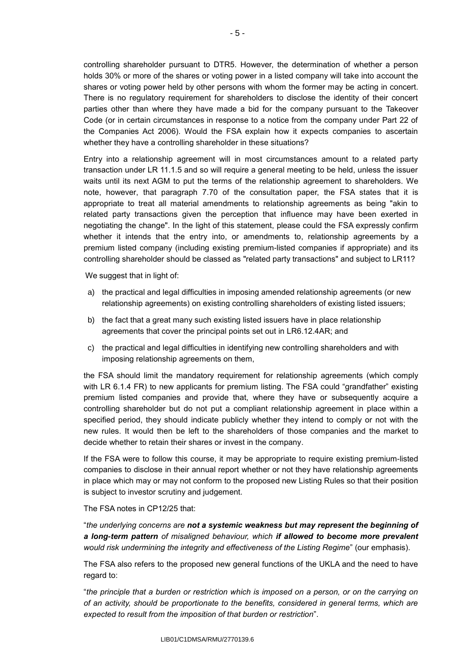controlling shareholder pursuant to DTR5. However, the determination of whether a person holds 30% or more of the shares or voting power in a listed company will take into account the shares or voting power held by other persons with whom the former may be acting in concert. There is no regulatory requirement for shareholders to disclose the identity of their concert parties other than where they have made a bid for the company pursuant to the Takeover Code (or in certain circumstances in response to a notice from the company under Part 22 of the Companies Act 2006). Would the FSA explain how it expects companies to ascertain whether they have a controlling shareholder in these situations?

Entry into a relationship agreement will in most circumstances amount to a related party transaction under LR 11.1.5 and so will require a general meeting to be held, unless the issuer waits until its next AGM to put the terms of the relationship agreement to shareholders. We note, however, that paragraph 7.70 of the consultation paper, the FSA states that it is appropriate to treat all material amendments to relationship agreements as being "akin to related party transactions given the perception that influence may have been exerted in negotiating the change". In the light of this statement, please could the FSA expressly confirm whether it intends that the entry into, or amendments to, relationship agreements by a premium listed company (including existing premium-listed companies if appropriate) and its controlling shareholder should be classed as "related party transactions" and subject to LR11?

We suggest that in light of:

- a) the practical and legal difficulties in imposing amended relationship agreements (or new relationship agreements) on existing controlling shareholders of existing listed issuers;
- b) the fact that a great many such existing listed issuers have in place relationship agreements that cover the principal points set out in LR6.12.4AR; and
- c) the practical and legal difficulties in identifying new controlling shareholders and with imposing relationship agreements on them,

the FSA should limit the mandatory requirement for relationship agreements (which comply with LR 6.1.4 FR) to new applicants for premium listing. The FSA could "grandfather" existing premium listed companies and provide that, where they have or subsequently acquire a controlling shareholder but do not put a compliant relationship agreement in place within a specified period, they should indicate publicly whether they intend to comply or not with the new rules. It would then be left to the shareholders of those companies and the market to decide whether to retain their shares or invest in the company.

If the FSA were to follow this course, it may be appropriate to require existing premium-listed companies to disclose in their annual report whether or not they have relationship agreements in place which may or may not conform to the proposed new Listing Rules so that their position is subject to investor scrutiny and judgement.

The FSA notes in CP12/25 that:

"*the underlying concerns are not a systemic weakness but may represent the beginning of a long-term pattern of misaligned behaviour, which if allowed to become more prevalent would risk undermining the integrity and effectiveness of the Listing Regime*" (our emphasis).

The FSA also refers to the proposed new general functions of the UKLA and the need to have regard to:

"*the principle that a burden or restriction which is imposed on a person, or on the carrying on of an activity, should be proportionate to the benefits, considered in general terms, which are expected to result from the imposition of that burden or restriction*".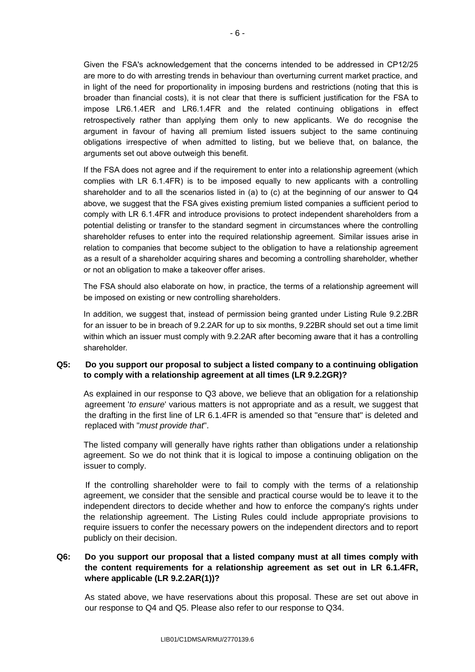Given the FSA's acknowledgement that the concerns intended to be addressed in CP12/25 are more to do with arresting trends in behaviour than overturning current market practice, and in light of the need for proportionality in imposing burdens and restrictions (noting that this is broader than financial costs), it is not clear that there is sufficient justification for the FSA to impose LR6.1.4ER and LR6.1.4FR and the related continuing obligations in effect retrospectively rather than applying them only to new applicants. We do recognise the argument in favour of having all premium listed issuers subject to the same continuing obligations irrespective of when admitted to listing, but we believe that, on balance, the arguments set out above outweigh this benefit.

If the FSA does not agree and if the requirement to enter into a relationship agreement (which complies with LR 6.1.4FR) is to be imposed equally to new applicants with a controlling shareholder and to all the scenarios listed in (a) to (c) at the beginning of our answer to  $\mathbb{Q}4$ above, we suggest that the FSA gives existing premium listed companies a sufficient period to comply with LR 6.1.4FR and introduce provisions to protect independent shareholders from a potential delisting or transfer to the standard segment in circumstances where the controlling shareholder refuses to enter into the required relationship agreement. Similar issues arise in relation to companies that become subject to the obligation to have a relationship agreement as a result of a shareholder acquiring shares and becoming a controlling shareholder, whether or not an obligation to make a takeover offer arises.

The FSA should also elaborate on how, in practice, the terms of a relationship agreement will be imposed on existing or new controlling shareholders.

In addition, we suggest that, instead of permission being granted under Listing Rule 9.2.2BR for an issuer to be in breach of 9.2.2AR for up to six months, 9.22BR should set out a time limit within which an issuer must comply with 9.2.2AR after becoming aware that it has a controlling shareholder.

### **Q5: Do you support our proposal to subject a listed company to a continuing obligation to comply with a relationship agreement at all times (LR 9.2.2GR)?**

As explained in our response to Q3 above, we believe that an obligation for a relationship agreement '*to ensure*' various matters is not appropriate and as a result, we suggest that the drafting in the first line of LR 6.1.4FR is amended so that "ensure that" is deleted and replaced with "*must provide that*".

The listed company will generally have rights rather than obligations under a relationship agreement. So we do not think that it is logical to impose a continuing obligation on the issuer to comply.

If the controlling shareholder were to fail to comply with the terms of a relationship agreement, we consider that the sensible and practical course would be to leave it to the independent directors to decide whether and how to enforce the company's rights under the relationship agreement. The Listing Rules could include appropriate provisions to require issuers to confer the necessary powers on the independent directors and to report publicly on their decision.

### **Q6: Do you support our proposal that a listed company must at all times comply with the content requirements for a relationship agreement as set out in LR 6.1.4FR, where applicable (LR 9.2.2AR(1))?**

As stated above, we have reservations about this proposal. These are set out above in our response to Q4 and Q5. Please also refer to our response to Q34.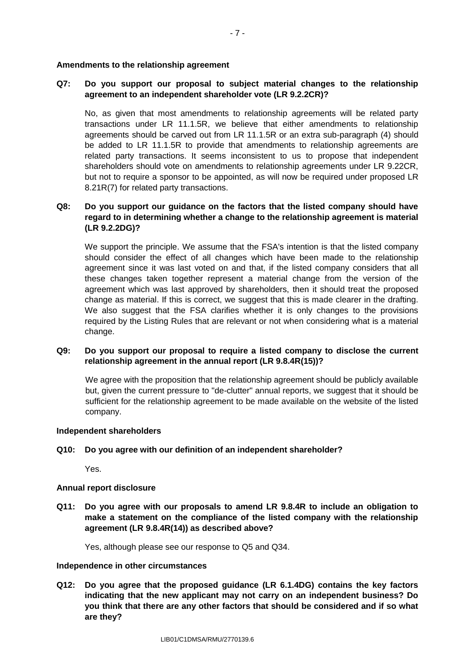#### **Amendments to the relationship agreement**

### **Q7: Do you support our proposal to subject material changes to the relationship agreement to an independent shareholder vote (LR 9.2.2CR)?**

No, as given that most amendments to relationship agreements will be related party transactions under LR 11.1.5R, we believe that either amendments to relationship agreements should be carved out from LR 11.1.5R or an extra sub-paragraph (4) should be added to LR 11.1.5R to provide that amendments to relationship agreements are related party transactions. It seems inconsistent to us to propose that independent shareholders should vote on amendments to relationship agreements under LR 9.22CR, but not to require a sponsor to be appointed, as will now be required under proposed LR 8.21R(7) for related party transactions.

### **Q8: Do you support our guidance on the factors that the listed company should have regard to in determining whether a change to the relationship agreement is material (LR 9.2.2DG)?**

We support the principle. We assume that the FSA's intention is that the listed company should consider the effect of all changes which have been made to the relationship agreement since it was last voted on and that, if the listed company considers that all these changes taken together represent a material change from the version of the agreement which was last approved by shareholders, then it should treat the proposed change as material. If this is correct, we suggest that this is made clearer in the drafting. We also suggest that the FSA clarifies whether it is only changes to the provisions required by the Listing Rules that are relevant or not when considering what is a material change.

### **Q9: Do you support our proposal to require a listed company to disclose the current relationship agreement in the annual report (LR 9.8.4R(15))?**

We agree with the proposition that the relationship agreement should be publicly available but, given the current pressure to "de-clutter" annual reports, we suggest that it should be sufficient for the relationship agreement to be made available on the website of the listed company.

### **Independent shareholders**

### **Q10: Do you agree with our definition of an independent shareholder?**

Yes.

#### **Annual report disclosure**

**Q11: Do you agree with our proposals to amend LR 9.8.4R to include an obligation to make a statement on the compliance of the listed company with the relationship agreement (LR 9.8.4R(14)) as described above?**

Yes, although please see our response to Q5 and Q34.

#### **Independence in other circumstances**

**Q12: Do you agree that the proposed guidance (LR 6.1.4DG) contains the key factors indicating that the new applicant may not carry on an independent business? Do you think that there are any other factors that should be considered and if so what are they?**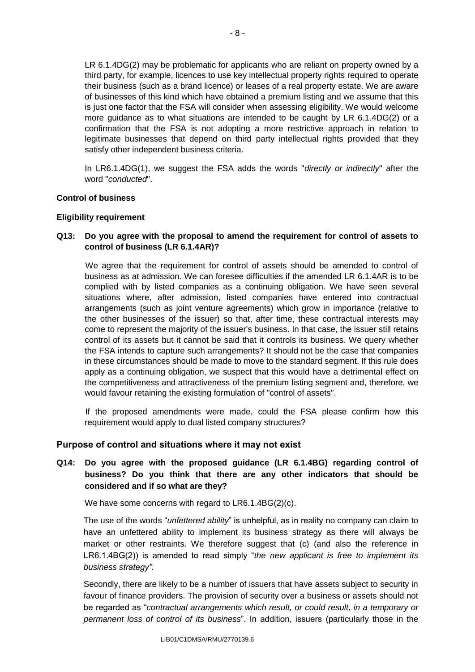LR 6.1.4DG(2) may be problematic for applicants who are reliant on property owned by a third party, for example, licences to use key intellectual property rights required to operate their business (such as a brand licence) or leases of a real property estate. We are aware of businesses of this kind which have obtained a premium listing and we assume that this is just one factor that the FSA will consider when assessing eligibility. We would welcome more guidance as to what situations are intended to be caught by LR 6.1.4DG(2) or a confirmation that the FSA is not adopting a more restrictive approach in relation to legitimate businesses that depend on third party intellectual rights provided that they satisfy other independent business criteria.

In LR6.1.4DG(1), we suggest the FSA adds the words "*directly or indirectly*" after the word "*conducted*".

### **Control of business**

#### **Eligibility requirement**

### **Q13: Do you agree with the proposal to amend the requirement for control of assets to control of business (LR 6.1.4AR)?**

We agree that the requirement for control of assets should be amended to control of business as at admission. We can foresee difficulties if the amended LR 6.1.4AR is to be complied with by listed companies as a continuing obligation. We have seen several situations where, after admission, listed companies have entered into contractual arrangements (such as joint venture agreements) which grow in importance (relative to the other businesses of the issuer) so that, after time, these contractual interests may come to represent the majority of the issuer's business. In that case, the issuer still retains control of its assets but it cannot be said that it controls its business. We query whether the FSA intends to capture such arrangements? It should not be the case that companies in these circumstances should be made to move to the standard segment. If this rule does apply as a continuing obligation, we suspect that this would have a detrimental effect on the competitiveness and attractiveness of the premium listing segment and, therefore, we would favour retaining the existing formulation of "control of assets".

If the proposed amendments were made, could the FSA please confirm how this requirement would apply to dual listed company structures?

### **Purpose of control and situations where it may not exist**

# **Q14: Do you agree with the proposed guidance (LR 6.1.4BG) regarding control of business? Do you think that there are any other indicators that should be considered and if so what are they?**

We have some concerns with regard to LR6.1.4BG(2)(c).

The use of the words "*unfettered ability*" is unhelpful, as in reality no company can claim to have an unfettered ability to implement its business strategy as there will always be market or other restraints. We therefore suggest that (c) (and also the reference in LR6.1.4BG(2)) is amended to read simply "*the new applicant is free to implement its business strategy"*.

Secondly, there are likely to be a number of issuers that have assets subject to security in favour of finance providers. The provision of security over a business or assets should not be regarded as "*contractual arrangements which result, or could result, in a temporary or permanent loss of control of its business*". In addition, issuers (particularly those in the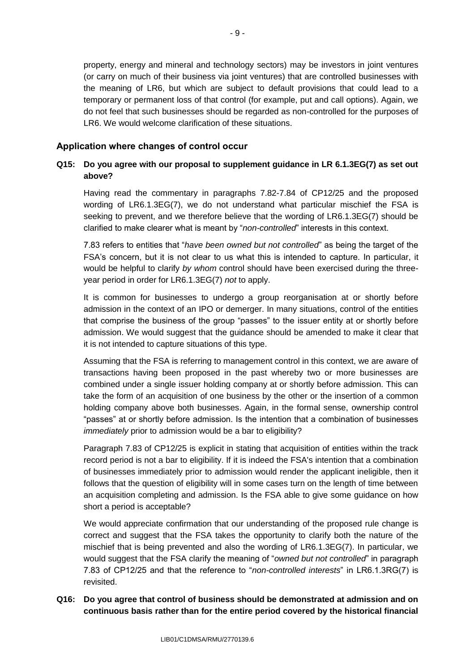property, energy and mineral and technology sectors) may be investors in joint ventures (or carry on much of their business via joint ventures) that are controlled businesses with the meaning of LR6, but which are subject to default provisions that could lead to a temporary or permanent loss of that control (for example, put and call options). Again, we do not feel that such businesses should be regarded as non-controlled for the purposes of LR6. We would welcome clarification of these situations.

# **Application where changes of control occur**

# **Q15: Do you agree with our proposal to supplement guidance in LR 6.1.3EG(7) as set out above?**

Having read the commentary in paragraphs 7.82-7.84 of CP12/25 and the proposed wording of LR6.1.3EG(7), we do not understand what particular mischief the FSA is seeking to prevent, and we therefore believe that the wording of LR6.1.3EG(7) should be clarified to make clearer what is meant by "*non-controlled*" interests in this context.

7.83 refers to entities that "*have been owned but not controlled*" as being the target of the FSA's concern, but it is not clear to us what this is intended to capture. In particular, it would be helpful to clarify *by whom* control should have been exercised during the threeyear period in order for LR6.1.3EG(7) *not* to apply.

It is common for businesses to undergo a group reorganisation at or shortly before admission in the context of an IPO or demerger. In many situations, control of the entities that comprise the business of the group "passes" to the issuer entity at or shortly before admission. We would suggest that the guidance should be amended to make it clear that it is not intended to capture situations of this type.

Assuming that the FSA is referring to management control in this context, we are aware of transactions having been proposed in the past whereby two or more businesses are combined under a single issuer holding company at or shortly before admission. This can take the form of an acquisition of one business by the other or the insertion of a common holding company above both businesses. Again, in the formal sense, ownership control "passes" at or shortly before admission. Is the intention that a combination of businesses *immediately* prior to admission would be a bar to eligibility?

Paragraph 7.83 of CP12/25 is explicit in stating that acquisition of entities within the track record period is not a bar to eligibility. If it is indeed the FSA's intention that a combination of businesses immediately prior to admission would render the applicant ineligible, then it follows that the question of eligibility will in some cases turn on the length of time between an acquisition completing and admission. Is the FSA able to give some guidance on how short a period is acceptable?

We would appreciate confirmation that our understanding of the proposed rule change is correct and suggest that the FSA takes the opportunity to clarify both the nature of the mischief that is being prevented and also the wording of LR6.1.3EG(7). In particular, we would suggest that the FSA clarify the meaning of "*owned but not controlled*" in paragraph 7.83 of CP12/25 and that the reference to "*non-controlled interests*" in LR6.1.3RG(7) is revisited.

# **Q16: Do you agree that control of business should be demonstrated at admission and on continuous basis rather than for the entire period covered by the historical financial**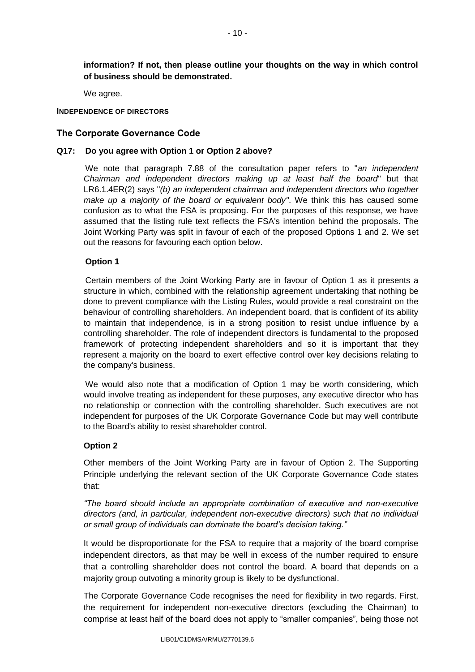**information? If not, then please outline your thoughts on the way in which control of business should be demonstrated.**

We agree.

#### **INDEPENDENCE OF DIRECTORS**

### **The Corporate Governance Code**

#### **Q17: Do you agree with Option 1 or Option 2 above?**

We note that paragraph 7.88 of the consultation paper refers to "*an independent Chairman and independent directors making up at least half the board*" but that LR6.1.4ER(2) says "*(b) an independent chairman and independent directors who together make up a majority of the board or equivalent body"*. We think this has caused some confusion as to what the FSA is proposing. For the purposes of this response, we have assumed that the listing rule text reflects the FSA's intention behind the proposals. The Joint Working Party was split in favour of each of the proposed Options 1 and 2. We set out the reasons for favouring each option below.

### **Option 1**

Certain members of the Joint Working Party are in favour of Option 1 as it presents a structure in which, combined with the relationship agreement undertaking that nothing be done to prevent compliance with the Listing Rules, would provide a real constraint on the behaviour of controlling shareholders. An independent board, that is confident of its ability to maintain that independence, is in a strong position to resist undue influence by a controlling shareholder. The role of independent directors is fundamental to the proposed framework of protecting independent shareholders and so it is important that they represent a majority on the board to exert effective control over key decisions relating to the company's business.

We would also note that a modification of Option 1 may be worth considering, which would involve treating as independent for these purposes, any executive director who has no relationship or connection with the controlling shareholder. Such executives are not independent for purposes of the UK Corporate Governance Code but may well contribute to the Board's ability to resist shareholder control.

### **Option 2**

Other members of the Joint Working Party are in favour of Option 2. The Supporting Principle underlying the relevant section of the UK Corporate Governance Code states that:

*"The board should include an appropriate combination of executive and non-executive directors (and, in particular, independent non-executive directors) such that no individual or small group of individuals can dominate the board's decision taking."*

It would be disproportionate for the FSA to require that a majority of the board comprise independent directors, as that may be well in excess of the number required to ensure that a controlling shareholder does not control the board. A board that depends on a majority group outvoting a minority group is likely to be dysfunctional.

The Corporate Governance Code recognises the need for flexibility in two regards. First, the requirement for independent non-executive directors (excluding the Chairman) to comprise at least half of the board does not apply to "smaller companies", being those not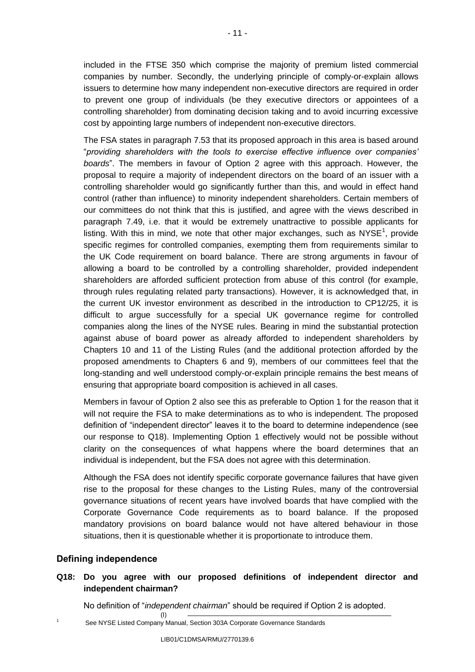included in the FTSE 350 which comprise the majority of premium listed commercial companies by number. Secondly, the underlying principle of comply-or-explain allows issuers to determine how many independent non-executive directors are required in order to prevent one group of individuals (be they executive directors or appointees of a controlling shareholder) from dominating decision taking and to avoid incurring excessive cost by appointing large numbers of independent non-executive directors.

The FSA states in paragraph 7.53 that its proposed approach in this area is based around "*providing shareholders with the tools to exercise effective influence over companies' boards*". The members in favour of Option 2 agree with this approach. However, the proposal to require a majority of independent directors on the board of an issuer with a controlling shareholder would go significantly further than this, and would in effect hand control (rather than influence) to minority independent shareholders. Certain members of our committees do not think that this is justified, and agree with the views described in paragraph 7.49, i.e. that it would be extremely unattractive to possible applicants for listing. With this in mind, we note that other major exchanges, such as  $NYSE<sup>1</sup>$ , provide specific regimes for controlled companies, exempting them from requirements similar to the UK Code requirement on board balance. There are strong arguments in favour of allowing a board to be controlled by a controlling shareholder, provided independent shareholders are afforded sufficient protection from abuse of this control (for example, through rules regulating related party transactions). However, it is acknowledged that, in the current UK investor environment as described in the introduction to CP12/25, it is difficult to argue successfully for a special UK governance regime for controlled companies along the lines of the NYSE rules. Bearing in mind the substantial protection against abuse of board power as already afforded to independent shareholders by Chapters 10 and 11 of the Listing Rules (and the additional protection afforded by the proposed amendments to Chapters 6 and 9), members of our committees feel that the long-standing and well understood comply-or-explain principle remains the best means of ensuring that appropriate board composition is achieved in all cases.

Members in favour of Option 2 also see this as preferable to Option 1 for the reason that it will not require the FSA to make determinations as to who is independent. The proposed definition of "independent director" leaves it to the board to determine independence (see our response to Q18). Implementing Option 1 effectively would not be possible without clarity on the consequences of what happens where the board determines that an individual is independent, but the FSA does not agree with this determination.

Although the FSA does not identify specific corporate governance failures that have given rise to the proposal for these changes to the Listing Rules, many of the controversial governance situations of recent years have involved boards that have complied with the Corporate Governance Code requirements as to board balance. If the proposed mandatory provisions on board balance would not have altered behaviour in those situations, then it is questionable whether it is proportionate to introduce them.

## **Defining independence**

# **Q18: Do you agree with our proposed definitions of independent director and independent chairman?**

No definition of "*independent chairman*" should be required if Option 2 is adopted.

See NYSE Listed Company Manual, Section 303A Corporate Governance Standards

(I)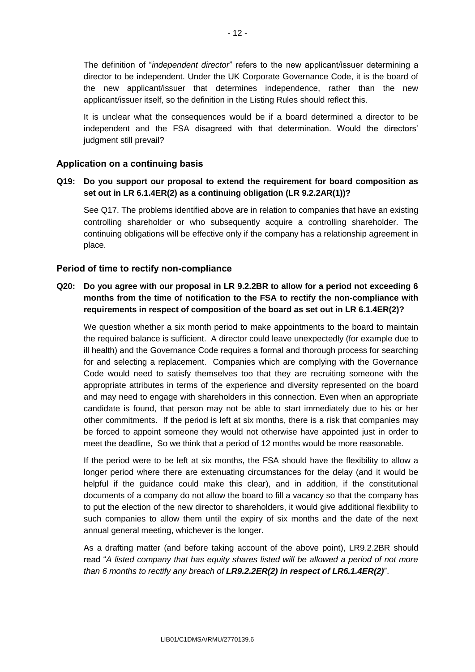The definition of "*independent director*" refers to the new applicant/issuer determining a director to be independent. Under the UK Corporate Governance Code, it is the board of the new applicant/issuer that determines independence, rather than the new applicant/issuer itself, so the definition in the Listing Rules should reflect this.

It is unclear what the consequences would be if a board determined a director to be independent and the FSA disagreed with that determination. Would the directors' judgment still prevail?

### **Application on a continuing basis**

## **Q19: Do you support our proposal to extend the requirement for board composition as set out in LR 6.1.4ER(2) as a continuing obligation (LR 9.2.2AR(1))?**

See Q17. The problems identified above are in relation to companies that have an existing controlling shareholder or who subsequently acquire a controlling shareholder. The continuing obligations will be effective only if the company has a relationship agreement in place.

### **Period of time to rectify non-compliance**

## **Q20: Do you agree with our proposal in LR 9.2.2BR to allow for a period not exceeding 6 months from the time of notification to the FSA to rectify the non-compliance with requirements in respect of composition of the board as set out in LR 6.1.4ER(2)?**

We question whether a six month period to make appointments to the board to maintain the required balance is sufficient. A director could leave unexpectedly (for example due to ill health) and the Governance Code requires a formal and thorough process for searching for and selecting a replacement. Companies which are complying with the Governance Code would need to satisfy themselves too that they are recruiting someone with the appropriate attributes in terms of the experience and diversity represented on the board and may need to engage with shareholders in this connection. Even when an appropriate candidate is found, that person may not be able to start immediately due to his or her other commitments. If the period is left at six months, there is a risk that companies may be forced to appoint someone they would not otherwise have appointed just in order to meet the deadline, So we think that a period of 12 months would be more reasonable.

If the period were to be left at six months, the FSA should have the flexibility to allow a longer period where there are extenuating circumstances for the delay (and it would be helpful if the guidance could make this clear), and in addition, if the constitutional documents of a company do not allow the board to fill a vacancy so that the company has to put the election of the new director to shareholders, it would give additional flexibility to such companies to allow them until the expiry of six months and the date of the next annual general meeting, whichever is the longer.

As a drafting matter (and before taking account of the above point), LR9.2.2BR should read "*A listed company that has equity shares listed will be allowed a period of not more than 6 months to rectify any breach of LR9.2.2ER(2) in respect of LR6.1.4ER(2)*".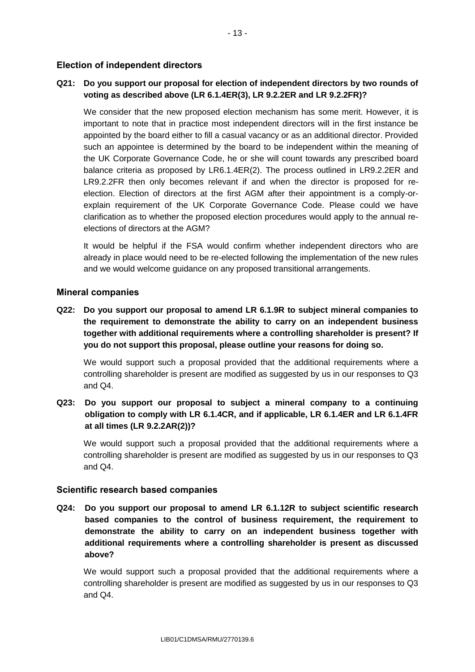## **Election of independent directors**

## **Q21: Do you support our proposal for election of independent directors by two rounds of voting as described above (LR 6.1.4ER(3), LR 9.2.2ER and LR 9.2.2FR)?**

We consider that the new proposed election mechanism has some merit. However, it is important to note that in practice most independent directors will in the first instance be appointed by the board either to fill a casual vacancy or as an additional director. Provided such an appointee is determined by the board to be independent within the meaning of the UK Corporate Governance Code, he or she will count towards any prescribed board balance criteria as proposed by LR6.1.4ER(2). The process outlined in LR9.2.2ER and LR9.2.2FR then only becomes relevant if and when the director is proposed for reelection. Election of directors at the first AGM after their appointment is a comply-orexplain requirement of the UK Corporate Governance Code. Please could we have clarification as to whether the proposed election procedures would apply to the annual reelections of directors at the AGM?

It would be helpful if the FSA would confirm whether independent directors who are already in place would need to be re-elected following the implementation of the new rules and we would welcome guidance on any proposed transitional arrangements.

### **Mineral companies**

**Q22: Do you support our proposal to amend LR 6.1.9R to subject mineral companies to the requirement to demonstrate the ability to carry on an independent business together with additional requirements where a controlling shareholder is present? If you do not support this proposal, please outline your reasons for doing so.**

We would support such a proposal provided that the additional requirements where a controlling shareholder is present are modified as suggested by us in our responses to Q3 and Q4.

**Q23: Do you support our proposal to subject a mineral company to a continuing obligation to comply with LR 6.1.4CR, and if applicable, LR 6.1.4ER and LR 6.1.4FR at all times (LR 9.2.2AR(2))?**

We would support such a proposal provided that the additional requirements where a controlling shareholder is present are modified as suggested by us in our responses to Q3 and Q4.

### **Scientific research based companies**

**Q24: Do you support our proposal to amend LR 6.1.12R to subject scientific research based companies to the control of business requirement, the requirement to demonstrate the ability to carry on an independent business together with additional requirements where a controlling shareholder is present as discussed above?**

We would support such a proposal provided that the additional requirements where a controlling shareholder is present are modified as suggested by us in our responses to Q3 and Q4.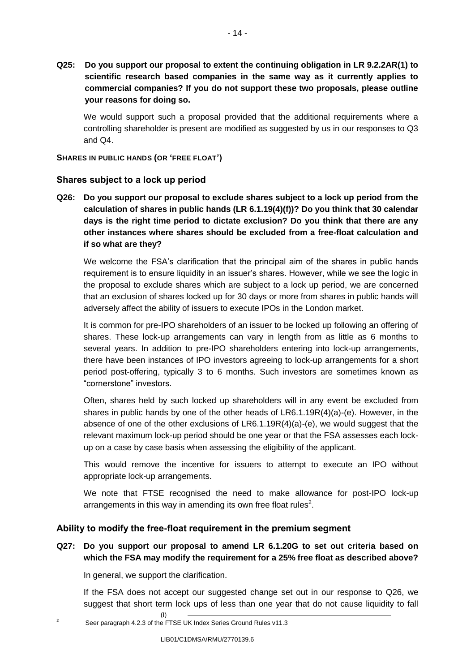**Q25: Do you support our proposal to extent the continuing obligation in LR 9.2.2AR(1) to scientific research based companies in the same way as it currently applies to commercial companies? If you do not support these two proposals, please outline your reasons for doing so.**

We would support such a proposal provided that the additional requirements where a controlling shareholder is present are modified as suggested by us in our responses to Q3 and Q4.

**SHARES IN PUBLIC HANDS (OR 'FREE FLOAT')**

## **Shares subject to a lock up period**

**Q26: Do you support our proposal to exclude shares subject to a lock up period from the calculation of shares in public hands (LR 6.1.19(4)(f))? Do you think that 30 calendar days is the right time period to dictate exclusion? Do you think that there are any other instances where shares should be excluded from a free-float calculation and if so what are they?**

We welcome the FSA's clarification that the principal aim of the shares in public hands requirement is to ensure liquidity in an issuer's shares. However, while we see the logic in the proposal to exclude shares which are subject to a lock up period, we are concerned that an exclusion of shares locked up for 30 days or more from shares in public hands will adversely affect the ability of issuers to execute IPOs in the London market.

It is common for pre-IPO shareholders of an issuer to be locked up following an offering of shares. These lock-up arrangements can vary in length from as little as 6 months to several years. In addition to pre-IPO shareholders entering into lock-up arrangements, there have been instances of IPO investors agreeing to lock-up arrangements for a short period post-offering, typically 3 to 6 months. Such investors are sometimes known as "cornerstone" investors.

Often, shares held by such locked up shareholders will in any event be excluded from shares in public hands by one of the other heads of  $LR6.1.19R(4)(a)-(e)$ . However, in the absence of one of the other exclusions of LR6.1.19R(4)(a)-(e), we would suggest that the relevant maximum lock-up period should be one year or that the FSA assesses each lockup on a case by case basis when assessing the eligibility of the applicant.

This would remove the incentive for issuers to attempt to execute an IPO without appropriate lock-up arrangements.

We note that FTSE recognised the need to make allowance for post-IPO lock-up arrangements in this way in amending its own free float rules<sup>2</sup>.

## **Ability to modify the free-float requirement in the premium segment**

## **Q27: Do you support our proposal to amend LR 6.1.20G to set out criteria based on which the FSA may modify the requirement for a 25% free float as described above?**

In general, we support the clarification.

If the FSA does not accept our suggested change set out in our response to Q26, we suggest that short term lock ups of less than one year that do not cause liquidity to fall

<sup>2</sup> Seer paragraph 4.2.3 of the FTSE UK Index Series Ground Rules v11.3

(I)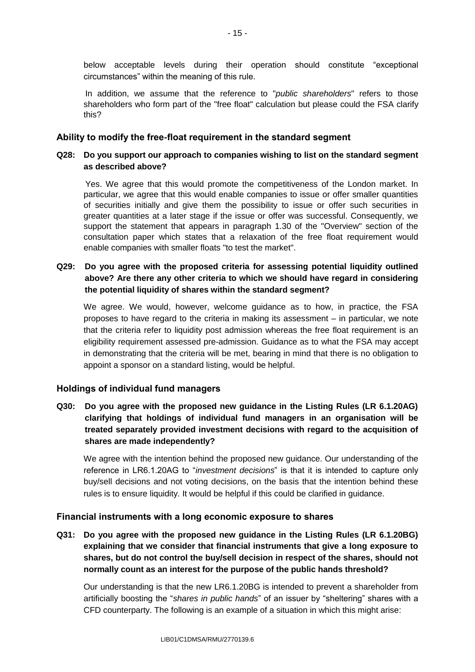below acceptable levels during their operation should constitute "exceptional circumstances" within the meaning of this rule.

In addition, we assume that the reference to "*public shareholders*" refers to those shareholders who form part of the "free float" calculation but please could the FSA clarify this?

### **Ability to modify the free-float requirement in the standard segment**

### **Q28: Do you support our approach to companies wishing to list on the standard segment as described above?**

Yes. We agree that this would promote the competitiveness of the London market. In particular, we agree that this would enable companies to issue or offer smaller quantities of securities initially and give them the possibility to issue or offer such securities in greater quantities at a later stage if the issue or offer was successful. Consequently, we support the statement that appears in paragraph 1.30 of the "Overview" section of the consultation paper which states that a relaxation of the free float requirement would enable companies with smaller floats "to test the market".

## **Q29: Do you agree with the proposed criteria for assessing potential liquidity outlined above? Are there any other criteria to which we should have regard in considering the potential liquidity of shares within the standard segment?**

We agree. We would, however, welcome guidance as to how, in practice, the FSA proposes to have regard to the criteria in making its assessment – in particular, we note that the criteria refer to liquidity post admission whereas the free float requirement is an eligibility requirement assessed pre-admission. Guidance as to what the FSA may accept in demonstrating that the criteria will be met, bearing in mind that there is no obligation to appoint a sponsor on a standard listing, would be helpful.

## **Holdings of individual fund managers**

**Q30: Do you agree with the proposed new guidance in the Listing Rules (LR 6.1.20AG) clarifying that holdings of individual fund managers in an organisation will be treated separately provided investment decisions with regard to the acquisition of shares are made independently?**

We agree with the intention behind the proposed new guidance. Our understanding of the reference in LR6.1.20AG to "*investment decisions*" is that it is intended to capture only buy/sell decisions and not voting decisions, on the basis that the intention behind these rules is to ensure liquidity. It would be helpful if this could be clarified in guidance.

### **Financial instruments with a long economic exposure to shares**

**Q31: Do you agree with the proposed new guidance in the Listing Rules (LR 6.1.20BG) explaining that we consider that financial instruments that give a long exposure to shares, but do not control the buy/sell decision in respect of the shares, should not normally count as an interest for the purpose of the public hands threshold?**

Our understanding is that the new LR6.1.20BG is intended to prevent a shareholder from artificially boosting the "*shares in public hands*" of an issuer by "sheltering" shares with a CFD counterparty. The following is an example of a situation in which this might arise: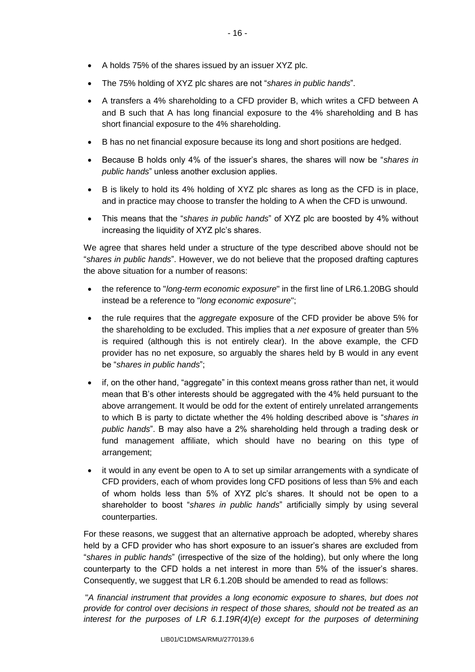- A holds 75% of the shares issued by an issuer XYZ plc.
- The 75% holding of XYZ plc shares are not "*shares in public hands*".
- A transfers a 4% shareholding to a CFD provider B, which writes a CFD between A and B such that A has long financial exposure to the 4% shareholding and B has short financial exposure to the 4% shareholding.
- B has no net financial exposure because its long and short positions are hedged.
- Because B holds only 4% of the issuer's shares, the shares will now be "*shares in public hands*" unless another exclusion applies.
- B is likely to hold its 4% holding of XYZ plc shares as long as the CFD is in place, and in practice may choose to transfer the holding to A when the CFD is unwound.
- This means that the "*shares in public hands*" of XYZ plc are boosted by 4% without increasing the liquidity of XYZ plc's shares.

We agree that shares held under a structure of the type described above should not be "*shares in public hands*". However, we do not believe that the proposed drafting captures the above situation for a number of reasons:

- the reference to "*long-term economic exposure*" in the first line of LR6.1.20BG should instead be a reference to "*long economic exposure*";
- the rule requires that the *aggregate* exposure of the CFD provider be above 5% for the shareholding to be excluded. This implies that a *net* exposure of greater than 5% is required (although this is not entirely clear). In the above example, the CFD provider has no net exposure, so arguably the shares held by B would in any event be "*shares in public hands*";
- if, on the other hand, "aggregate" in this context means gross rather than net, it would mean that B's other interests should be aggregated with the 4% held pursuant to the above arrangement. It would be odd for the extent of entirely unrelated arrangements to which B is party to dictate whether the 4% holding described above is "*shares in public hands*". B may also have a 2% shareholding held through a trading desk or fund management affiliate, which should have no bearing on this type of arrangement;
- it would in any event be open to A to set up similar arrangements with a syndicate of CFD providers, each of whom provides long CFD positions of less than 5% and each of whom holds less than 5% of XYZ plc's shares. It should not be open to a shareholder to boost "*shares in public hands*" artificially simply by using several counterparties.

For these reasons, we suggest that an alternative approach be adopted, whereby shares held by a CFD provider who has short exposure to an issuer's shares are excluded from "*shares in public hands*" (irrespective of the size of the holding), but only where the long counterparty to the CFD holds a net interest in more than 5% of the issuer's shares. Consequently, we suggest that LR 6.1.20B should be amended to read as follows:

"*A financial instrument that provides a long economic exposure to shares, but does not provide for control over decisions in respect of those shares, should not be treated as an interest for the purposes of LR 6.1.19R(4)(e) except for the purposes of determining*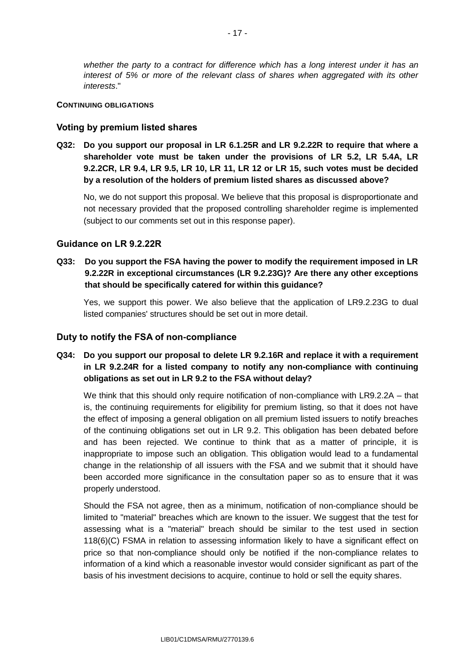*whether the party to a contract for difference which has a long interest under it has an interest of 5% or more of the relevant class of shares when aggregated with its other interests*."

#### **CONTINUING OBLIGATIONS**

### **Voting by premium listed shares**

**Q32: Do you support our proposal in LR 6.1.25R and LR 9.2.22R to require that where a shareholder vote must be taken under the provisions of LR 5.2, LR 5.4A, LR 9.2.2CR, LR 9.4, LR 9.5, LR 10, LR 11, LR 12 or LR 15, such votes must be decided by a resolution of the holders of premium listed shares as discussed above?**

No, we do not support this proposal. We believe that this proposal is disproportionate and not necessary provided that the proposed controlling shareholder regime is implemented (subject to our comments set out in this response paper).

### **Guidance on LR 9.2.22R**

**Q33: Do you support the FSA having the power to modify the requirement imposed in LR 9.2.22R in exceptional circumstances (LR 9.2.23G)? Are there any other exceptions that should be specifically catered for within this guidance?**

Yes, we support this power. We also believe that the application of LR9.2.23G to dual listed companies' structures should be set out in more detail.

#### **Duty to notify the FSA of non-compliance**

# **Q34: Do you support our proposal to delete LR 9.2.16R and replace it with a requirement in LR 9.2.24R for a listed company to notify any non-compliance with continuing obligations as set out in LR 9.2 to the FSA without delay?**

We think that this should only require notification of non-compliance with LR9.2.2A – that is, the continuing requirements for eligibility for premium listing, so that it does not have the effect of imposing a general obligation on all premium listed issuers to notify breaches of the continuing obligations set out in LR 9.2. This obligation has been debated before and has been rejected. We continue to think that as a matter of principle, it is inappropriate to impose such an obligation. This obligation would lead to a fundamental change in the relationship of all issuers with the FSA and we submit that it should have been accorded more significance in the consultation paper so as to ensure that it was properly understood.

Should the FSA not agree, then as a minimum, notification of non-compliance should be limited to "material" breaches which are known to the issuer. We suggest that the test for assessing what is a "material" breach should be similar to the test used in section 118(6)(C) FSMA in relation to assessing information likely to have a significant effect on price so that non-compliance should only be notified if the non-compliance relates to information of a kind which a reasonable investor would consider significant as part of the basis of his investment decisions to acquire, continue to hold or sell the equity shares.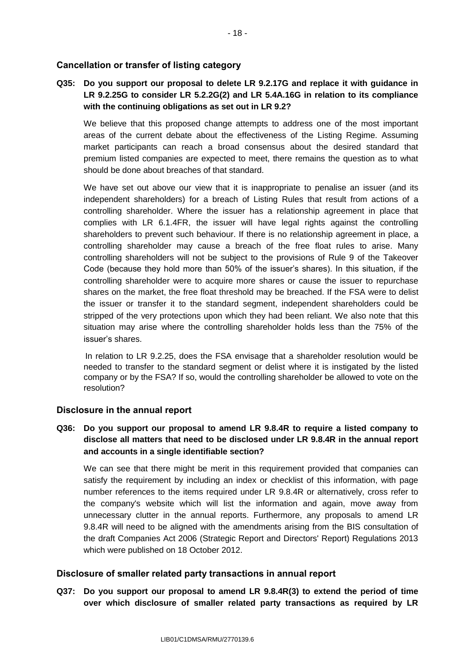# **Cancellation or transfer of listing category**

# **Q35: Do you support our proposal to delete LR 9.2.17G and replace it with guidance in LR 9.2.25G to consider LR 5.2.2G(2) and LR 5.4A.16G in relation to its compliance with the continuing obligations as set out in LR 9.2?**

We believe that this proposed change attempts to address one of the most important areas of the current debate about the effectiveness of the Listing Regime. Assuming market participants can reach a broad consensus about the desired standard that premium listed companies are expected to meet, there remains the question as to what should be done about breaches of that standard.

We have set out above our view that it is inappropriate to penalise an issuer (and its independent shareholders) for a breach of Listing Rules that result from actions of a controlling shareholder. Where the issuer has a relationship agreement in place that complies with LR 6.1.4FR, the issuer will have legal rights against the controlling shareholders to prevent such behaviour. If there is no relationship agreement in place, a controlling shareholder may cause a breach of the free float rules to arise. Many controlling shareholders will not be subject to the provisions of Rule 9 of the Takeover Code (because they hold more than 50% of the issuer's shares). In this situation, if the controlling shareholder were to acquire more shares or cause the issuer to repurchase shares on the market, the free float threshold may be breached. If the FSA were to delist the issuer or transfer it to the standard segment, independent shareholders could be stripped of the very protections upon which they had been reliant. We also note that this situation may arise where the controlling shareholder holds less than the 75% of the issuer's shares.

In relation to LR 9.2.25, does the FSA envisage that a shareholder resolution would be needed to transfer to the standard segment or delist where it is instigated by the listed company or by the FSA? If so, would the controlling shareholder be allowed to vote on the resolution?

## **Disclosure in the annual report**

## **Q36: Do you support our proposal to amend LR 9.8.4R to require a listed company to disclose all matters that need to be disclosed under LR 9.8.4R in the annual report and accounts in a single identifiable section?**

We can see that there might be merit in this requirement provided that companies can satisfy the requirement by including an index or checklist of this information, with page number references to the items required under LR 9.8.4R or alternatively, cross refer to the company's website which will list the information and again, move away from unnecessary clutter in the annual reports. Furthermore, any proposals to amend LR 9.8.4R will need to be aligned with the amendments arising from the BIS consultation of the draft Companies Act 2006 (Strategic Report and Directors' Report) Regulations 2013 which were published on 18 October 2012.

### **Disclosure of smaller related party transactions in annual report**

**Q37: Do you support our proposal to amend LR 9.8.4R(3) to extend the period of time over which disclosure of smaller related party transactions as required by LR**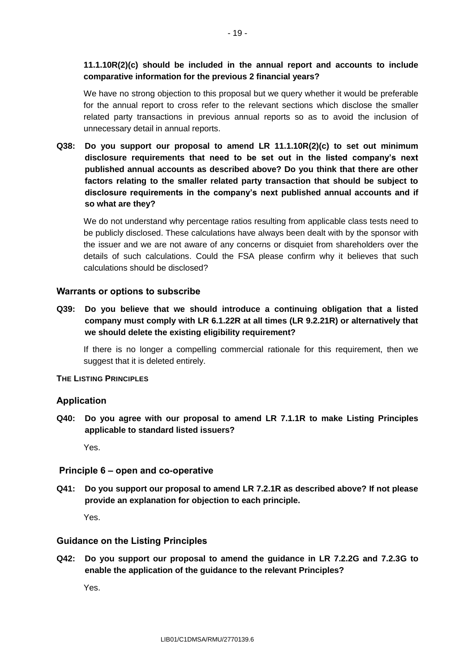# **11.1.10R(2)(c) should be included in the annual report and accounts to include comparative information for the previous 2 financial years?**

We have no strong objection to this proposal but we query whether it would be preferable for the annual report to cross refer to the relevant sections which disclose the smaller related party transactions in previous annual reports so as to avoid the inclusion of unnecessary detail in annual reports.

**Q38: Do you support our proposal to amend LR 11.1.10R(2)(c) to set out minimum disclosure requirements that need to be set out in the listed company's next published annual accounts as described above? Do you think that there are other factors relating to the smaller related party transaction that should be subject to disclosure requirements in the company's next published annual accounts and if so what are they?**

We do not understand why percentage ratios resulting from applicable class tests need to be publicly disclosed. These calculations have always been dealt with by the sponsor with the issuer and we are not aware of any concerns or disquiet from shareholders over the details of such calculations. Could the FSA please confirm why it believes that such calculations should be disclosed?

## **Warrants or options to subscribe**

**Q39: Do you believe that we should introduce a continuing obligation that a listed company must comply with LR 6.1.22R at all times (LR 9.2.21R) or alternatively that we should delete the existing eligibility requirement?**

If there is no longer a compelling commercial rationale for this requirement, then we suggest that it is deleted entirely.

## **THE LISTING PRINCIPLES**

## **Application**

**Q40: Do you agree with our proposal to amend LR 7.1.1R to make Listing Principles applicable to standard listed issuers?**

Yes.

## **Principle 6 – open and co-operative**

**Q41: Do you support our proposal to amend LR 7.2.1R as described above? If not please provide an explanation for objection to each principle.**

Yes.

## **Guidance on the Listing Principles**

**Q42: Do you support our proposal to amend the guidance in LR 7.2.2G and 7.2.3G to enable the application of the guidance to the relevant Principles?**

Yes.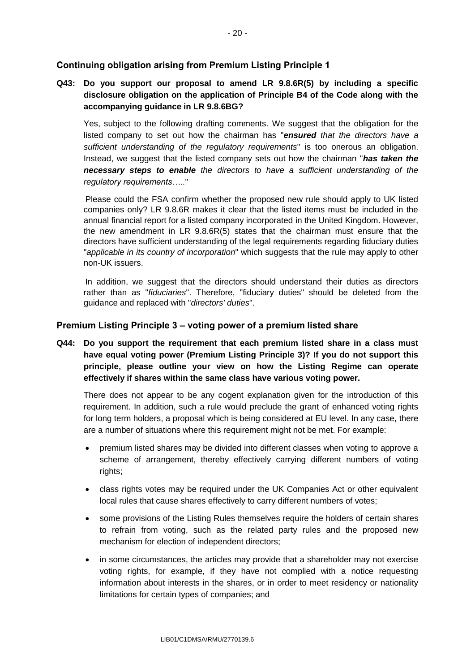## **Continuing obligation arising from Premium Listing Principle 1**

# **Q43: Do you support our proposal to amend LR 9.8.6R(5) by including a specific disclosure obligation on the application of Principle B4 of the Code along with the accompanying guidance in LR 9.8.6BG?**

Yes, subject to the following drafting comments. We suggest that the obligation for the listed company to set out how the chairman has "*ensured that the directors have a sufficient understanding of the regulatory requirements*" is too onerous an obligation. Instead, we suggest that the listed company sets out how the chairman "*has taken the necessary steps to enable the directors to have a sufficient understanding of the regulatory requirements…..*"

Please could the FSA confirm whether the proposed new rule should apply to UK listed companies only? LR 9.8.6R makes it clear that the listed items must be included in the annual financial report for a listed company incorporated in the United Kingdom. However, the new amendment in LR 9.8.6R(5) states that the chairman must ensure that the directors have sufficient understanding of the legal requirements regarding fiduciary duties "*applicable in its country of incorporation*" which suggests that the rule may apply to other non-UK issuers.

In addition, we suggest that the directors should understand their duties as directors rather than as "*fiduciaries*". Therefore, "fiduciary duties" should be deleted from the guidance and replaced with "*directors' duties*".

## **Premium Listing Principle 3 – voting power of a premium listed share**

**Q44: Do you support the requirement that each premium listed share in a class must have equal voting power (Premium Listing Principle 3)? If you do not support this principle, please outline your view on how the Listing Regime can operate effectively if shares within the same class have various voting power.**

There does not appear to be any cogent explanation given for the introduction of this requirement. In addition, such a rule would preclude the grant of enhanced voting rights for long term holders, a proposal which is being considered at EU level. In any case, there are a number of situations where this requirement might not be met. For example:

- premium listed shares may be divided into different classes when voting to approve a scheme of arrangement, thereby effectively carrying different numbers of voting rights;
- class rights votes may be required under the UK Companies Act or other equivalent local rules that cause shares effectively to carry different numbers of votes;
- some provisions of the Listing Rules themselves require the holders of certain shares to refrain from voting, such as the related party rules and the proposed new mechanism for election of independent directors;
- in some circumstances, the articles may provide that a shareholder may not exercise voting rights, for example, if they have not complied with a notice requesting information about interests in the shares, or in order to meet residency or nationality limitations for certain types of companies; and